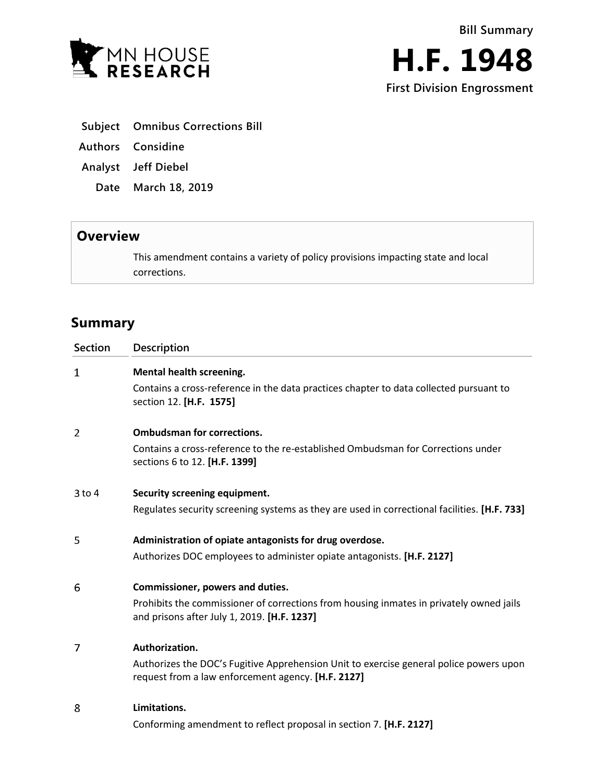

**First Division Engrossment**

- **Subject Omnibus Corrections Bill**
- **Authors Considine**
- **Analyst Jeff Diebel**
	- **Date March 18, 2019**

## **Overview**

This amendment contains a variety of policy provisions impacting state and local corrections.

## **Summary**

| <b>Section</b> | Description                                                                                                                                  |
|----------------|----------------------------------------------------------------------------------------------------------------------------------------------|
| 1              | Mental health screening.                                                                                                                     |
|                | Contains a cross-reference in the data practices chapter to data collected pursuant to<br>section 12. [H.F. 1575]                            |
| 2              | <b>Ombudsman for corrections.</b>                                                                                                            |
|                | Contains a cross-reference to the re-established Ombudsman for Corrections under<br>sections 6 to 12. [H.F. 1399]                            |
| $3$ to $4$     | Security screening equipment.                                                                                                                |
|                | Regulates security screening systems as they are used in correctional facilities. [H.F. 733]                                                 |
| 5              | Administration of opiate antagonists for drug overdose.                                                                                      |
|                | Authorizes DOC employees to administer opiate antagonists. [H.F. 2127]                                                                       |
| 6              | Commissioner, powers and duties.                                                                                                             |
|                | Prohibits the commissioner of corrections from housing inmates in privately owned jails<br>and prisons after July 1, 2019. [H.F. 1237]       |
| 7              | Authorization.                                                                                                                               |
|                | Authorizes the DOC's Fugitive Apprehension Unit to exercise general police powers upon<br>request from a law enforcement agency. [H.F. 2127] |
| 8              | Limitations.                                                                                                                                 |
|                | Conforming amendment to reflect proposal in section 7. [H.F. 2127]                                                                           |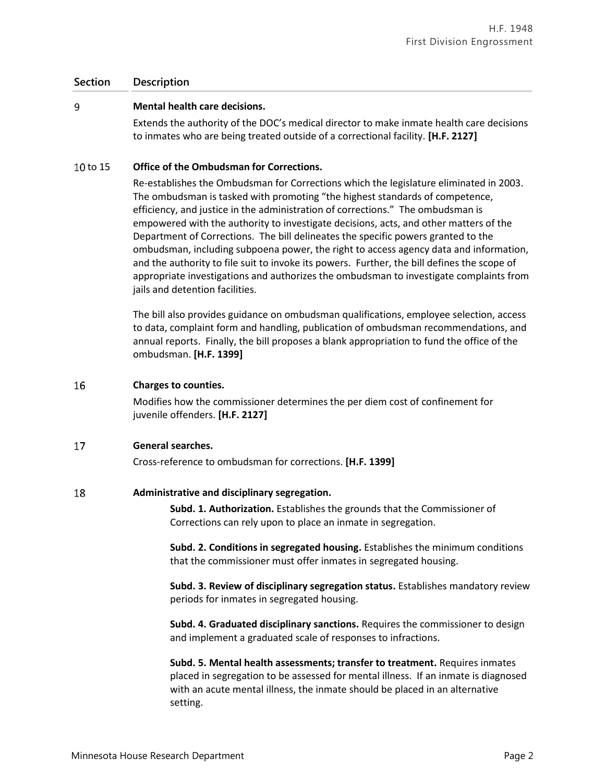### **Section Description**

#### 9 **Mental health care decisions.**

Extends the authority of the DOC's medical director to make inmate health care decisions to inmates who are being treated outside of a correctional facility. **[H.F. 2127]**

### 10 to 15 **Office of the Ombudsman for Corrections.**

Re-establishes the Ombudsman for Corrections which the legislature eliminated in 2003. The ombudsman is tasked with promoting "the highest standards of competence, efficiency, and justice in the administration of corrections." The ombudsman is empowered with the authority to investigate decisions, acts, and other matters of the Department of Corrections. The bill delineates the specific powers granted to the ombudsman, including subpoena power, the right to access agency data and information, and the authority to file suit to invoke its powers. Further, the bill defines the scope of appropriate investigations and authorizes the ombudsman to investigate complaints from jails and detention facilities.

The bill also provides guidance on ombudsman qualifications, employee selection, access to data, complaint form and handling, publication of ombudsman recommendations, and annual reports. Finally, the bill proposes a blank appropriation to fund the office of the ombudsman. **[H.F. 1399]**

#### 16 **Charges to counties.**

Modifies how the commissioner determines the per diem cost of confinement for juvenile offenders. **[H.F. 2127]**

#### 17 **General searches.**

Cross-reference to ombudsman for corrections. **[H.F. 1399]**

#### 18 **Administrative and disciplinary segregation.**

**Subd. 1. Authorization.** Establishes the grounds that the Commissioner of Corrections can rely upon to place an inmate in segregation.

**Subd. 2. Conditions in segregated housing.** Establishes the minimum conditions that the commissioner must offer inmates in segregated housing.

**Subd. 3. Review of disciplinary segregation status.** Establishes mandatory review periods for inmates in segregated housing.

**Subd. 4. Graduated disciplinary sanctions.** Requires the commissioner to design and implement a graduated scale of responses to infractions.

**Subd. 5. Mental health assessments; transfer to treatment.** Requires inmates placed in segregation to be assessed for mental illness. If an inmate is diagnosed with an acute mental illness, the inmate should be placed in an alternative setting.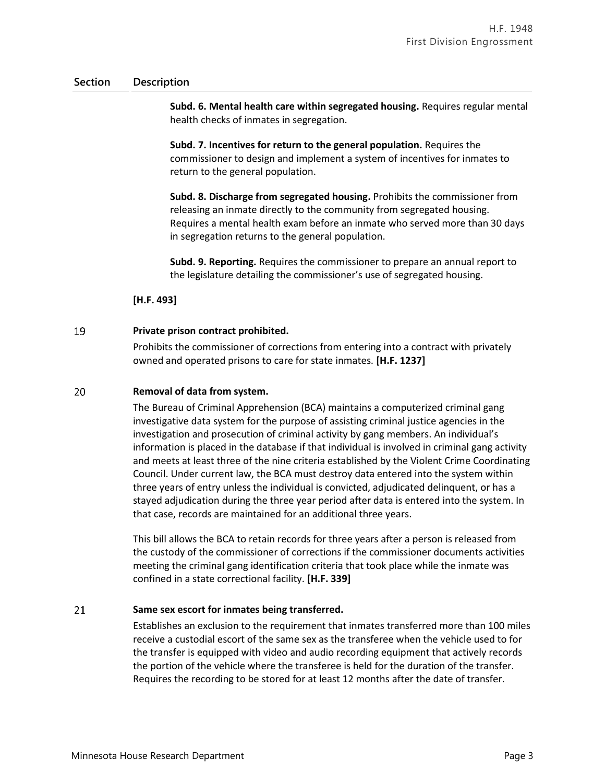### **Section Description**

**Subd. 6. Mental health care within segregated housing.** Requires regular mental health checks of inmates in segregation.

**Subd. 7. Incentives for return to the general population.** Requires the commissioner to design and implement a system of incentives for inmates to return to the general population.

**Subd. 8. Discharge from segregated housing.** Prohibits the commissioner from releasing an inmate directly to the community from segregated housing. Requires a mental health exam before an inmate who served more than 30 days in segregation returns to the general population.

**Subd. 9. Reporting.** Requires the commissioner to prepare an annual report to the legislature detailing the commissioner's use of segregated housing.

**[H.F. 493]**

#### 19 **Private prison contract prohibited.**

Prohibits the commissioner of corrections from entering into a contract with privately owned and operated prisons to care for state inmates. **[H.F. 1237]**

#### 20 **Removal of data from system.**

The Bureau of Criminal Apprehension (BCA) maintains a computerized criminal gang investigative data system for the purpose of assisting criminal justice agencies in the investigation and prosecution of criminal activity by gang members. An individual's information is placed in the database if that individual is involved in criminal gang activity and meets at least three of the nine criteria established by the Violent Crime Coordinating Council. Under current law, the BCA must destroy data entered into the system within three years of entry unless the individual is convicted, adjudicated delinquent, or has a stayed adjudication during the three year period after data is entered into the system. In that case, records are maintained for an additional three years.

This bill allows the BCA to retain records for three years after a person is released from the custody of the commissioner of corrections if the commissioner documents activities meeting the criminal gang identification criteria that took place while the inmate was confined in a state correctional facility. **[H.F. 339]**

#### 21 **Same sex escort for inmates being transferred.**

Establishes an exclusion to the requirement that inmates transferred more than 100 miles receive a custodial escort of the same sex as the transferee when the vehicle used to for the transfer is equipped with video and audio recording equipment that actively records the portion of the vehicle where the transferee is held for the duration of the transfer. Requires the recording to be stored for at least 12 months after the date of transfer.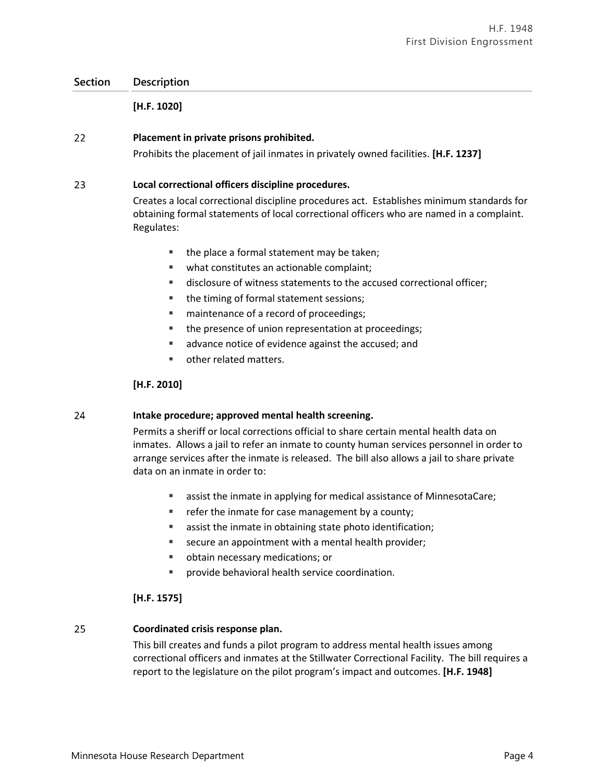### **Section Description**

**[H.F. 1020]**

#### 22 **Placement in private prisons prohibited.**

Prohibits the placement of jail inmates in privately owned facilities. **[H.F. 1237]**

#### 23 **Local correctional officers discipline procedures.**

Creates a local correctional discipline procedures act. Establishes minimum standards for obtaining formal statements of local correctional officers who are named in a complaint. Regulates:

- $\blacksquare$  the place a formal statement may be taken;
- what constitutes an actionable complaint;
- disclosure of witness statements to the accused correctional officer;
- the timing of formal statement sessions;
- maintenance of a record of proceedings;
- the presence of union representation at proceedings;
- **a** advance notice of evidence against the accused; and
- **other related matters.**

### **[H.F. 2010]**

#### **Intake procedure; approved mental health screening.** 24

Permits a sheriff or local corrections official to share certain mental health data on inmates. Allows a jail to refer an inmate to county human services personnel in order to arrange services after the inmate is released. The bill also allows a jail to share private data on an inmate in order to:

- assist the inmate in applying for medical assistance of MinnesotaCare;
- **Fig. 2** refer the inmate for case management by a county;
- assist the inmate in obtaining state photo identification;
- secure an appointment with a mental health provider;
- obtain necessary medications; or
- provide behavioral health service coordination.

### **[H.F. 1575]**

#### 25 **Coordinated crisis response plan.**

This bill creates and funds a pilot program to address mental health issues among correctional officers and inmates at the Stillwater Correctional Facility. The bill requires a report to the legislature on the pilot program's impact and outcomes. **[H.F. 1948]**